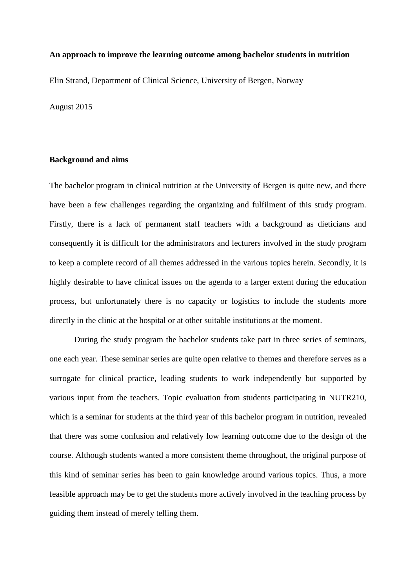### **An approach to improve the learning outcome among bachelor students in nutrition**

Elin Strand, Department of Clinical Science, University of Bergen, Norway

August 2015

### **Background and aims**

The bachelor program in clinical nutrition at the University of Bergen is quite new, and there have been a few challenges regarding the organizing and fulfilment of this study program. Firstly, there is a lack of permanent staff teachers with a background as dieticians and consequently it is difficult for the administrators and lecturers involved in the study program to keep a complete record of all themes addressed in the various topics herein. Secondly, it is highly desirable to have clinical issues on the agenda to a larger extent during the education process, but unfortunately there is no capacity or logistics to include the students more directly in the clinic at the hospital or at other suitable institutions at the moment.

During the study program the bachelor students take part in three series of seminars, one each year. These seminar series are quite open relative to themes and therefore serves as a surrogate for clinical practice, leading students to work independently but supported by various input from the teachers. Topic evaluation from students participating in NUTR210, which is a seminar for students at the third year of this bachelor program in nutrition, revealed that there was some confusion and relatively low learning outcome due to the design of the course. Although students wanted a more consistent theme throughout, the original purpose of this kind of seminar series has been to gain knowledge around various topics. Thus, a more feasible approach may be to get the students more actively involved in the teaching process by guiding them instead of merely telling them.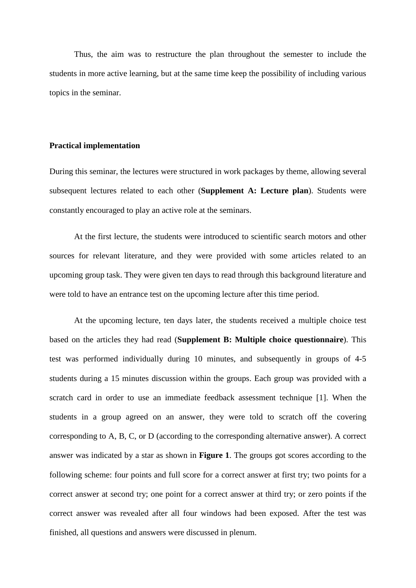Thus, the aim was to restructure the plan throughout the semester to include the students in more active learning, but at the same time keep the possibility of including various topics in the seminar.

### **Practical implementation**

During this seminar, the lectures were structured in work packages by theme, allowing several subsequent lectures related to each other (**Supplement A: Lecture plan**). Students were constantly encouraged to play an active role at the seminars.

At the first lecture, the students were introduced to scientific search motors and other sources for relevant literature, and they were provided with some articles related to an upcoming group task. They were given ten days to read through this background literature and were told to have an entrance test on the upcoming lecture after this time period.

At the upcoming lecture, ten days later, the students received a multiple choice test based on the articles they had read (**Supplement B: Multiple choice questionnaire**). This test was performed individually during 10 minutes, and subsequently in groups of 4-5 students during a 15 minutes discussion within the groups. Each group was provided with a scratch card in order to use an immediate feedback assessment technique [\[1\]](#page-5-0). When the students in a group agreed on an answer, they were told to scratch off the covering corresponding to A, B, C, or D (according to the corresponding alternative answer). A correct answer was indicated by a star as shown in **Figure 1**. The groups got scores according to the following scheme: four points and full score for a correct answer at first try; two points for a correct answer at second try; one point for a correct answer at third try; or zero points if the correct answer was revealed after all four windows had been exposed. After the test was finished, all questions and answers were discussed in plenum.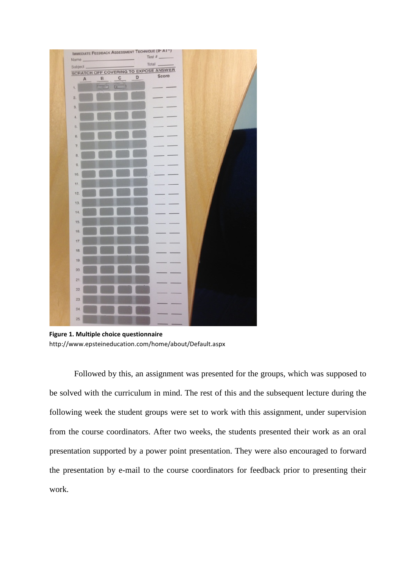

**Figure 1. Multiple choice questionnaire** http://www.epsteineducation.com/home/about/Default.aspx

Followed by this, an assignment was presented for the groups, which was supposed to be solved with the curriculum in mind. The rest of this and the subsequent lecture during the following week the student groups were set to work with this assignment, under supervision from the course coordinators. After two weeks, the students presented their work as an oral presentation supported by a power point presentation. They were also encouraged to forward the presentation by e-mail to the course coordinators for feedback prior to presenting their work.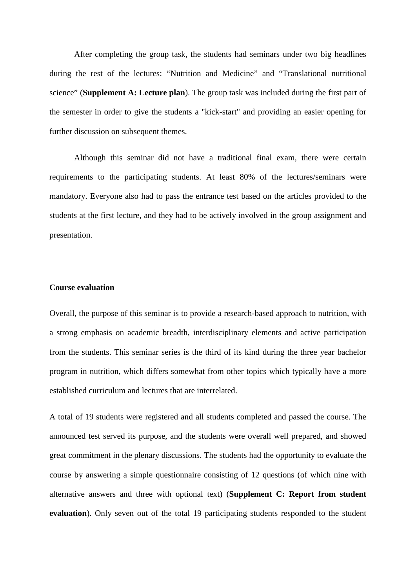After completing the group task, the students had seminars under two big headlines during the rest of the lectures: "Nutrition and Medicine" and "Translational nutritional science" (**Supplement A: Lecture plan**). The group task was included during the first part of the semester in order to give the students a "kick-start" and providing an easier opening for further discussion on subsequent themes.

Although this seminar did not have a traditional final exam, there were certain requirements to the participating students. At least 80% of the lectures/seminars were mandatory. Everyone also had to pass the entrance test based on the articles provided to the students at the first lecture, and they had to be actively involved in the group assignment and presentation.

### **Course evaluation**

Overall, the purpose of this seminar is to provide a research-based approach to nutrition, with a strong emphasis on academic breadth, interdisciplinary elements and active participation from the students. This seminar series is the third of its kind during the three year bachelor program in nutrition, which differs somewhat from other topics which typically have a more established curriculum and lectures that are interrelated.

A total of 19 students were registered and all students completed and passed the course. The announced test served its purpose, and the students were overall well prepared, and showed great commitment in the plenary discussions. The students had the opportunity to evaluate the course by answering a simple questionnaire consisting of 12 questions (of which nine with alternative answers and three with optional text) (**Supplement C: Report from student evaluation**). Only seven out of the total 19 participating students responded to the student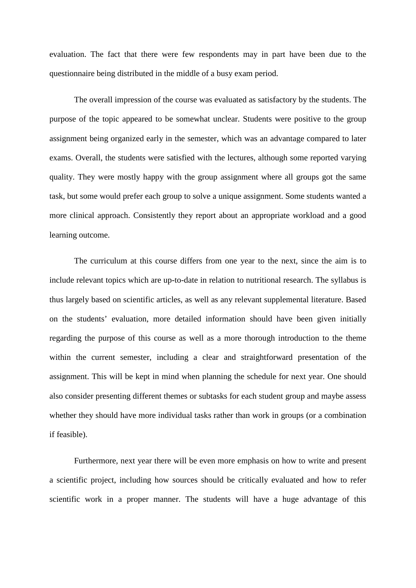evaluation. The fact that there were few respondents may in part have been due to the questionnaire being distributed in the middle of a busy exam period.

The overall impression of the course was evaluated as satisfactory by the students. The purpose of the topic appeared to be somewhat unclear. Students were positive to the group assignment being organized early in the semester, which was an advantage compared to later exams. Overall, the students were satisfied with the lectures, although some reported varying quality. They were mostly happy with the group assignment where all groups got the same task, but some would prefer each group to solve a unique assignment. Some students wanted a more clinical approach. Consistently they report about an appropriate workload and a good learning outcome.

The curriculum at this course differs from one year to the next, since the aim is to include relevant topics which are up-to-date in relation to nutritional research. The syllabus is thus largely based on scientific articles, as well as any relevant supplemental literature. Based on the students' evaluation, more detailed information should have been given initially regarding the purpose of this course as well as a more thorough introduction to the theme within the current semester, including a clear and straightforward presentation of the assignment. This will be kept in mind when planning the schedule for next year. One should also consider presenting different themes or subtasks for each student group and maybe assess whether they should have more individual tasks rather than work in groups (or a combination if feasible).

Furthermore, next year there will be even more emphasis on how to write and present a scientific project, including how sources should be critically evaluated and how to refer scientific work in a proper manner. The students will have a huge advantage of this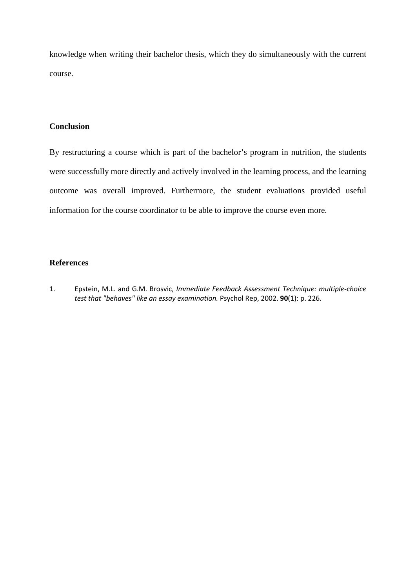knowledge when writing their bachelor thesis, which they do simultaneously with the current course.

### **Conclusion**

By restructuring a course which is part of the bachelor's program in nutrition, the students were successfully more directly and actively involved in the learning process, and the learning outcome was overall improved. Furthermore, the student evaluations provided useful information for the course coordinator to be able to improve the course even more.

### **References**

<span id="page-5-0"></span>1. Epstein, M.L. and G.M. Brosvic, *Immediate Feedback Assessment Technique: multiple-choice test that "behaves" like an essay examination.* Psychol Rep, 2002. **90**(1): p. 226.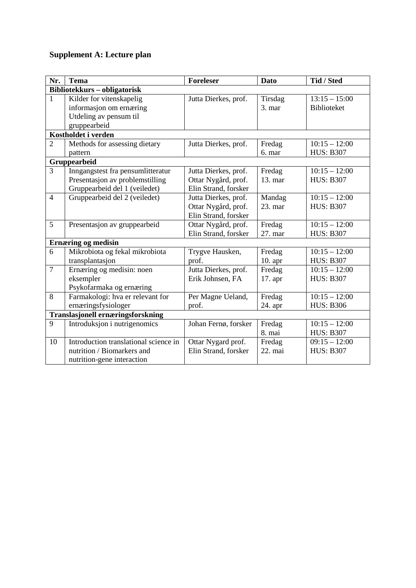# **Supplement A: Lecture plan**

| Nr.                                      | <b>Tema</b>                           | <b>Foreleser</b>     | Dato      | Tid / Sted       |
|------------------------------------------|---------------------------------------|----------------------|-----------|------------------|
| Bibliotekkurs - obligatorisk             |                                       |                      |           |                  |
| 1                                        | Kilder for vitenskapelig              | Jutta Dierkes, prof. | Tirsdag   | $13:15 - 15:00$  |
|                                          | informasjon om ernæring               |                      | $3.$ mar  | Biblioteket      |
|                                          | Utdeling av pensum til                |                      |           |                  |
|                                          | gruppearbeid                          |                      |           |                  |
| Kostholdet i verden                      |                                       |                      |           |                  |
| $\overline{2}$                           | Methods for assessing dietary         | Jutta Dierkes, prof. | Fredag    | $10:15 - 12:00$  |
|                                          | pattern                               |                      | 6. mar    | <b>HUS: B307</b> |
| Gruppearbeid                             |                                       |                      |           |                  |
| $\overline{3}$                           | Inngangstest fra pensumlitteratur     | Jutta Dierkes, prof. | Fredag    | $10:15 - 12:00$  |
|                                          | Presentasjon av problemstilling       | Ottar Nygård, prof.  | 13. mar   | <b>HUS: B307</b> |
|                                          | Gruppearbeid del 1 (veiledet)         | Elin Strand, forsker |           |                  |
| $\overline{4}$                           | Gruppearbeid del 2 (veiledet)         | Jutta Dierkes, prof. | Mandag    | $10:15 - 12:00$  |
|                                          |                                       | Ottar Nygård, prof.  | 23. mar   | <b>HUS: B307</b> |
|                                          |                                       | Elin Strand, forsker |           |                  |
| 5                                        | Presentasjon av gruppearbeid          | Ottar Nygård, prof.  | Fredag    | $10:15 - 12:00$  |
|                                          |                                       | Elin Strand, forsker | 27. mar   | <b>HUS: B307</b> |
| <b>Ernæring og medisin</b>               |                                       |                      |           |                  |
| 6                                        | Mikrobiota og fekal mikrobiota        | Trygve Hausken,      | Fredag    | $10:15 - 12:00$  |
|                                          | transplantasjon                       | prof.                | $10.$ apr | <b>HUS: B307</b> |
| $\overline{7}$                           | Ernæring og medisin: noen             | Jutta Dierkes, prof. | Fredag    | $10:15 - 12:00$  |
|                                          | eksempler                             | Erik Johnsen, FA     | 17. apr   | <b>HUS: B307</b> |
|                                          | Psykofarmaka og ernæring              |                      |           |                  |
| 8                                        | Farmakologi: hva er relevant for      | Per Magne Ueland,    | Fredag    | $10:15 - 12:00$  |
|                                          | ernæringsfysiologer                   | prof.                | 24. apr   | <b>HUS: B306</b> |
| <b>Translasjonell ernæringsforskning</b> |                                       |                      |           |                  |
| 9                                        | Introduksjon i nutrigenomics          | Johan Fernø, forsker | Fredag    | $10:15 - 12:00$  |
|                                          |                                       |                      | 8. mai    | <b>HUS: B307</b> |
| 10                                       | Introduction translational science in | Ottar Nygard prof.   | Fredag    | $09:15 - 12:00$  |
|                                          | nutrition / Biomarkers and            | Elin Strand, forsker | 22. mai   | <b>HUS: B307</b> |
|                                          | nutrition-gene interaction            |                      |           |                  |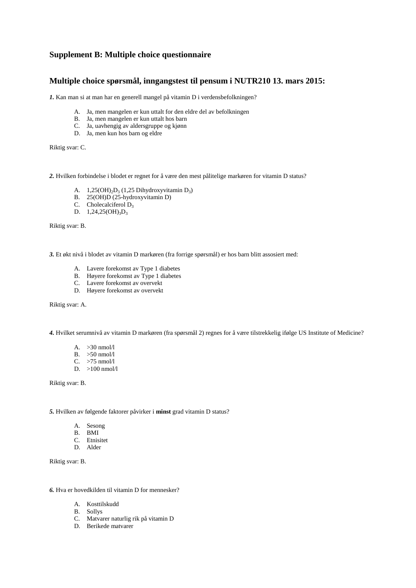### **Supplement B: Multiple choice questionnaire**

### **Multiple choice spørsmål, inngangstest til pensum i NUTR210 13. mars 2015:**

*1.* Kan man si at man har en generell mangel på vitamin D i verdensbefolkningen?

- A. Ja, men mangelen er kun uttalt for den eldre del av befolkningen
- B. Ja, men mangelen er kun uttalt hos barn
- C. Ja, uavhengig av aldersgruppe og kjønn
- D. Ja, men kun hos barn og eldre

Riktig svar: C.

*2.* Hvilken forbindelse i blodet er regnet for å være den mest pålitelige markøren for vitamin D status?

- A.  $1,25(OH)_2D_3$  (1,25 Dihydroxyvitamin D<sub>3</sub>)
- B. 25(OH)D (25-hydroxyvitamin D)
- C. Cholecalciferol D<sub>3</sub>
- D.  $1,24,25(OH)_{3}D_{3}$

Riktig svar: B.

*3.* Et økt nivå i blodet av vitamin D markøren (fra forrige spørsmål) er hos barn blitt assosiert med:

- A. Lavere forekomst av Type 1 diabetes
- B. Høyere forekomst av Type 1 diabetes
- C. Lavere forekomst av overvekt
- D. Høyere forekomst av overvekt

Riktig svar: A.

*4.* Hvilket serumnivå av vitamin D markøren (fra spørsmål 2) regnes for å være tilstrekkelig ifølge US Institute of Medicine?

- A. >30 nmol/l
- B. >50 nmol/l
- C. >75 nmol/l
- D. >100 nmol/l

Riktig svar: B.

*5.* Hvilken av følgende faktorer påvirker i **minst** grad vitamin D status?

- A. Sesong
- B. BMI
- C. Etnisitet
- D. Alder

Riktig svar: B.

*6.* Hva er hovedkilden til vitamin D for mennesker?

- A. Kosttilskudd
- B. Sollys
- C. Matvarer naturlig rik på vitamin D
- D. Berikede matvarer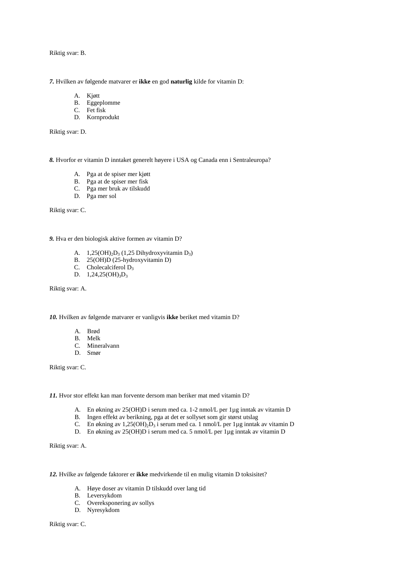Riktig svar: B.

*7.* Hvilken av følgende matvarer er **ikke** en god **naturlig** kilde for vitamin D:

- A. Kjøtt
- B. Eggeplomme
- C. Fet fisk
- D. Kornprodukt

Riktig svar: D.

*8.* Hvorfor er vitamin D inntaket generelt høyere i USA og Canada enn i Sentraleuropa?

- A. Pga at de spiser mer kjøtt
- B. Pga at de spiser mer fisk
- C. Pga mer bruk av tilskudd
- D. Pga mer sol

Riktig svar: C.

*9.* Hva er den biologisk aktive formen av vitamin D?

- A.  $1,25(OH)<sub>2</sub>D<sub>3</sub>(1,25 Dhydroxyvitamin D<sub>3</sub>)$
- B. 25(OH)D (25-hydroxyvitamin D)
- C. Cholecalciferol  $D_3$
- D.  $1,24,25(OH)_{3}D_{3}$

Riktig svar: A.

*10.* Hvilken av følgende matvarer er vanligvis **ikke** beriket med vitamin D?

- A. Brød
- B. Melk
- C. Mineralvann
- D. Smør

Riktig svar: C.

*11.* Hvor stor effekt kan man forvente dersom man beriker mat med vitamin D?

- A. En økning av 25(OH)D i serum med ca. 1-2 nmol/L per 1µg inntak av vitamin D
- B. Ingen effekt av berikning, pga at det er sollyset som gir størst utslag
- C. En økning av  $1,25(OH)_2D_3$  i serum med ca. 1 nmol/L per 1µg inntak av vitamin D
- D. En økning av 25(OH)D i serum med ca. 5 nmol/L per 1µg inntak av vitamin D

Riktig svar: A.

*12.* Hvilke av følgende faktorer er **ikke** medvirkende til en mulig vitamin D toksisitet?

- A. Høye doser av vitamin D tilskudd over lang tid
- B. Leversykdom
- C. Overeksponering av sollys
- D. Nyresykdom

Riktig svar: C.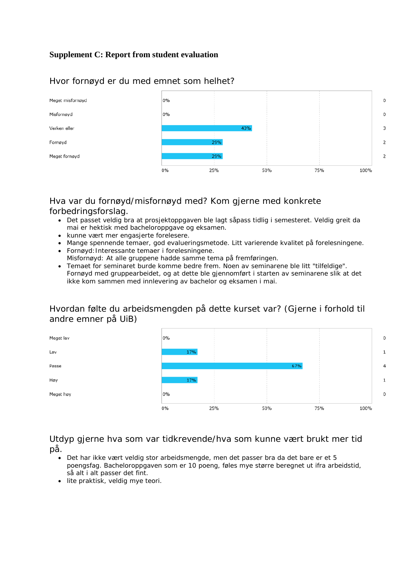# **Supplement C: Report from student evaluation**



### Hvor fornøyd er du med emnet som helhet?

# Hva var du fornøyd/misfornøyd med? Kom gjerne med konkrete forbedringsforslag.

- Det passet veldig bra at prosjektoppgaven ble lagt såpass tidlig i semesteret. Veldig greit da mai er hektisk med bacheloroppgave og eksamen.
- kunne vært mer engasjerte forelesere.
- Mange spennende temaer, god evalueringsmetode. Litt varierende kvalitet på forelesningene.
- Fornøyd:Interessante temaer i forelesningene.
- Misfornøyd: At alle gruppene hadde samme tema på fremføringen.
- Temaet for seminaret burde komme bedre frem. Noen av seminarene ble litt "tilfeldige". Fornøyd med gruppearbeidet, og at dette ble gjennomført i starten av seminarene slik at det ikke kom sammen med innlevering av bachelor og eksamen i mai.

# Hvordan følte du arbeidsmengden på dette kurset var? (Gjerne i forhold til andre emner på UiB)



Utdyp gjerne hva som var tidkrevende/hva som kunne vært brukt mer tid på.

- Det har ikke vært veldig stor arbeidsmengde, men det passer bra da det bare er et 5 poengsfag. Bacheloroppgaven som er 10 poeng, føles mye større beregnet ut ifra arbeidstid, så alt i alt passer det fint.
- lite praktisk, veldig mye teori.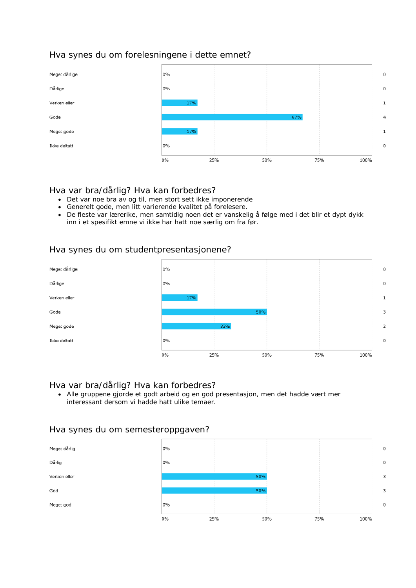# Hva synes du om forelesningene i dette emnet?



### Hva var bra/dårlig? Hva kan forbedres?

- Det var noe bra av og til, men stort sett ikke imponerende
- Generelt gode, men litt varierende kvalitet på forelesere.
- De fleste var lærerike, men samtidig noen det er vanskelig å følge med i det blir et dypt dykk inn i et spesifikt emne vi ikke har hatt noe særlig om fra før.

### Hva synes du om studentpresentasjonene?



# Hva var bra/dårlig? Hva kan forbedres?

• Alle gruppene gjorde et godt arbeid og en god presentasjon, men det hadde vært mer interessant dersom vi hadde hatt ulike temaer.

### Hva synes du om semesteroppgaven?